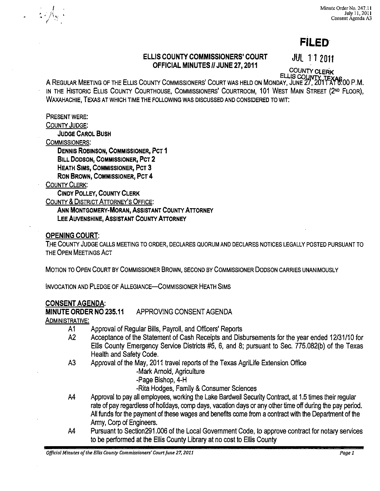# **FILED**

## ELLIS COUNTY COMMISSIONERS' COURT JUL 112011 OFFICIAL MINUTES // JUNE 27, 2011

ELLIS COUNTY TEXAS<br>A REGULAR MEETING OF THE ELLIS COUNTY COMMISSIONERS' COURT WAS HELD ON MONDAY, JUNE 27, 2011 AT 6:00 P.M. IN THE HISTORIC ELLIS COUNTY COURTHOUSE, COMMISSIONERS' COURTROOM, 101 WEST MAIN STREET (2ND FLOOR). WAXAHACHIE, TEXAS AT WHICH TIME THE FOLLOWING WAS DISCUSSED AND CONSIDERED TO WIT:

PRESENT WERE:

I . ( )  $\sqrt{S}$ 

COUNTY JUDGE:

JUDGE CAROL BUSH

COMMISSIONERS:

DENNIS ROBINSON, COMMISSIONER, PCT 1 BILL DODSON, COMMISSIONER, PCT 2 HEATH SIMS, COMMISSIONER, PCT 3 RON BROWN, COMMISSIONER, PeT 4

COUNTY CLERK:

CINDY POLLEY, COUNTY CLERK COUNTY & DISTRICT ATTORNEY'S OFFICE:

ANN MONTGOMERY-MORAN, ASSISTANT COUNTY ATTORNEY LEE AUVENSHINE, ASSISTANT COUNTY ATTORNEY

#### OPENING COURT:

THE COUNTY JUDGE CALLS MEETING TO ORDER, DECLARES QUORUM AND DECLARES NOTICES LEGALLY POSTED PURSUANT TO THE OPEN MEETINGS ACT

MOTION TO OPEN COURT BY COMMISSIONER BROWN, SECOND BY COMMISSIONER DODSON CARRIES UNANIMOUSLY

INVOCATION AND PLEDGE OF ALLEGIANCE-COMMISSIONER HEATH SIMS

#### CONSENT AGENDA:

MINUTE ORDER NO 235.11 APPROVING CONSENT AGENDA

ADMINISTRATIVE:

- A 1 Approval of Regular Bills, Payroll, and Officers' Reports
- A2 Acceptance of the Statement of Cash Receipts and Disbursements for the year ended 12/31/10 for Ellis County Emergency Service Districts #5, 6, and 8; pursuant to Sec. 775.082(b) of the Texas Health and Safety Code.
- A3 Approval of the May, 2011 travel reports of the Texas AgriLife Extension Office
	- -Mark Arnold, Agriculture
	- -Page Bishop, 4-H
	- -Rita Hodges, Family & Consumer Sciences
- A4 Approval to pay all employees, working the Lake Bardwell Security Contract, at 1.5 times their regular rate of pay regardless of holidays, comp days, vacation days or any other time off during the pay period. All funds for the payment of these wages and benefits come from a contract with the Department of the Army, Corp of Engineers.
- A4 Pursuant to Section291.006 of the Local Government Code, to approve contract for notary services to be performed at the Ellis County Library at no cost to Ellis County

*Official Minutes of the Ellis County Commissioners' Court June 27, 2011* Page 1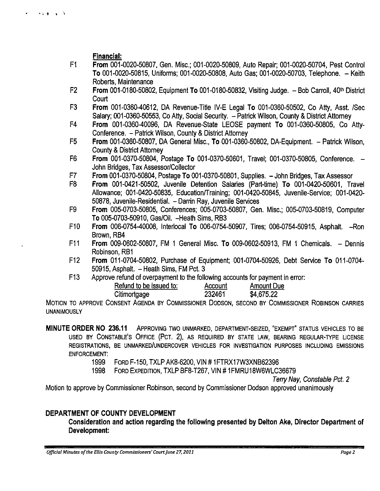Financial:

 $\mathbf{A} = \mathbf{A} \mathbf{B} + \mathbf{A} \mathbf{A} + \mathbf{A} \mathbf{A}$ 

- Fl From 001-0020-50807, Gen. Misc.; 001-0020-50809, Auto Repair; 001-0020-50704, Pest Control To 001-0020-50815, Uniforms; 001-0020-50808, Auto Gas; 001-0020-50703, Telephone. - Keith Roberts, Maintenance
- F2 From 001-0180-50802, Equipment To 001-0180-50832, Visiting Judge. Bob Carroll, 40<sup>th</sup> District **Court**
- F3 From 001-0360-40612, DA Revenue-Title IV-E Legal To 001-0360-50502, Co Atty, Asst. /Sec Salary; 001-0360-50553, Co Atty, Social Security. - Patrick Wilson, County & District Attorney
- F4 From 001-0360-40096, DA Revenue-State LEOSE payment To 001-0360-50805, Co Atty-Conference. - Patrick Wilson, County & District Attorney
- F5 From 001-0360-50807, DA General Misc., To 001-0360-50802, DA-Equipment. Patrick Wilson, County & District Attorney
- F6 From 001-0370-50804, Postage To 001-0370-50601, Travel; 001-0370-50805, Conference. John Bridges, Tax Assessor/Collector
- F7 From 001-0370-50804, Postage To 001-0370-50801, Supplies. John Bridges, Tax Assessor
- F8 From 001-0421-50502, Juvenile Detention Salaries (Part-time) To 001-0420-50601, Travel Allowance; 001-0420-50835, EducationlTraining; 001-0420-50845, Juvenile-Service; 001-0420- 50878, Juvenile-Residential. - Darrin Ray, Juvenile Services
- F9 From 005-0703-50805, Conferences; 005-0703-50807, Gen. Misc.; 005-0703-50819, Computer To 005-0703-50910, Gas/Oil. --Heath Sims, RB3
- FlO From 006-0754-40008, Interlocal To 006-0754-50907, Tires; 006-0754-50915, Asphalt. -Ron Brown, RB4
- F11 From 009-0602-50807, FM 1 General Misc. To 009-0602-50913, FM 1 Chemicals. Dennis Robinson, RBl
- F12 From 011-0704-50802, Purchase of Equipment; 001-0704-50926, Debt Service To 011-0704- 50915, Asphalt. - Heath Sims, FM Pct. 3
- F13 Approve refund of overpayment to the following accounts for payment in error:

| Refund to be issued to: | Account | <b>Amount Due</b> |
|-------------------------|---------|-------------------|
| Citimortgage            | 232461  | \$4,675.22        |

MOTION TO APPROVE CONSENT AGENDA BY COMMISSIONER DODSON, SECOND BY COMMISSIONER ROBINSON CARRIES UNANIMOUSLY

MINUTE ORDER NO 236.11 ApPROVING TWO UNMARKED, DEPARTMENT-SEIZED, "EXEMPT" STATUS VEHICLES TO BE USED BY CONSTABLE'S OFFICE (PCT. 2), AS REQUIRED BY STATE LAW, BEARING REGULAR-TYPE LICENSE REGISTRATIONS, BE UNMARKED/UNDERCOVER VEHICLES FOR INVESTIGATION PURPOSES INCLUDING EMISSIONS ENFORCEMENT:

1999 FORD F-150, TXLP AK8-6200, VIN # 1 FTRX17W3XNB62396

1998 FORD EXPEDITION, TXLP BF8-T267, VIN #1 FMRU 18W6WLC36679

Terry Nay, Constable Pet. 2

Motion to approve by Commissioner Robinson, second by Commissioner Dodson approved unanimously

### DEPARTMENT OF COUNTY DEVELOPMENT

Consideration and action regarding the following presented by Delton Ake, Director Department of Development: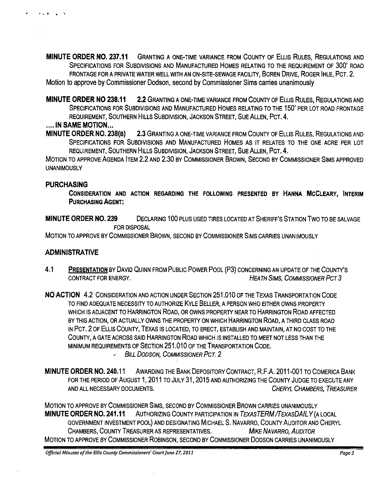MINUTE ORDER NO. 237.11 GRANTING A ONE-TIME VARIANCE FROM COUNTY OF ELLIS RULES, REGULATIONS AND SPECIFICATIONS FOR SUBDIVISIONS AND MANUFACTURED HOMES RELATING TO THE REQUIREMENT OF 300' ROAD FRONTAGE FOR A PRIVATE WATER WELL WITH AN ON-SITE-SEWAGE FACILITY, BOREN DRIVE, ROGER IHLE, PCT. 2. Motion to approve by Commissioner Dodson, second by Commissioner Sims carries unanimously

MINUTE ORDER NO 238.11 2.2 GRANTING A ONE-TIME VARIANCE FROM COUNTY OF ELLIS RULES, REGULATIONS AND SPECIFICATIONS FOR SUBDIVISIONS AND MANUFACTURED HOMES RELATING TO THE 150' PER LOT ROAD FRONTAGE REQUIREMENT, SOUTHERN HILLS SUBDIVISION, JACKSON STREET, SUE ALLEN, PCT. 4 .

#### $\dots$  IN SAME MOTION $\dots$

MINUTE ORDER NO. 238(B) 2.3 GRANTING A ONE-TIME VARIANCE FROM COUNTY OF ELLIS RULES, REGULATIONS AND SPECIFICATIONS FOR SUBDIVISIONS AND MANUFACTURED HOMES AS IT RELATES TO THE ONE ACRE PER LOT REQUIREMENT, SOUTHERN HILLS SUBDIVISION, JACKSON STREET, SUE ALLEN, PCT. 4.

MOTION TO APPROVE AGENDA ITEM 2.2 AND 2.30 BY COMMISSIONER BROWN, SECOND BY COMMISSIONER SIMS APPROVED UNANIMOUSLY

#### PURCHASING

.... .. '\

CONSIDERATION AND ACTION REGARDING THE FOLLOWING PRESENTED BY HANNA MCCLEARY, INTERIM PURCHASING AGENT:

MINUTE ORDER NO. 239 DECLARING 100 PLUS USED TIRES LOCATED AT SHERIFF'S STATION TWO TO BE SALVAGE FOR DISPOSAL

MOTION TO APPROVE BY COMMISSIONER BROWN, SECOND BY COMMISSIONER SIMS CARRIES UNANIMOUSLY

#### ADMINISTRATIVE

- 4.1 PRESENTATION BY DAVID QUINN FROM PUBLIC POWER POOL (P3) CONCERNING AN UPDATE OF THE COUNTY'S CONTRACT FOR ENERGY. THEATH SIMS, COMMISSIONER PCT 3
- NO ACTION 4.2 CONSIDERATION AND ACTION UNDER SECTION 251.010 OF THE TEXAS TRANSPORTATION CODE TO FIND ADEQUATE NECESSITY TO AUTHORIZE KYLE BELLER, A PERSON WHO EITHER OWNS PROPERTY WHICH IS ADJACENT TO HARRINGTON ROAD, OR OWNS PROPERTY NEAR TO HARRINGTON ROAD AFFECTED BY THIS ACTION, OR ACTUALLY OWNS THE PROPERTY ON WHICH HARRINGTON ROAD, A THIRD CLASS ROAD IN PCT. 2 OF ELLIS COUNTY, TEXAS IS LOCATED, TO ERECT, ESTABLISH AND MAINTAIN, AT NO COSTTO THE COUNTY, A GATE ACROSS SAID HARRINGTON ROAD WHICH IS INSTALLED TO MEET NOT LESS THAN THE MINIMUM REQUIREMENTS OF SECTION 251.010 OF THE TRANSPORTATION CODE.

BILL DODSON, COMMISSIONER PCT. 2

MINUTE ORDER NO. 240.11 AWARDING THE BANK DEPOSITORY CONTRACT, R.F.A. 2011-001 TO COMERICA BANK FOR THE PERIOD OF AUGUST 1, 2011 TO JULY 31, 2015 AND AUTHORIZING THE COUNTY JUDGE TO EXECUTE ANY AND ALL NECESSARY DOCUMENTS. CHERYL CHAMBERS, TREASURER

MOTION TO APPROVE BY COMMISSIONER SIMS, SECOND BY COMMISSIONER BROWN CARRIES UNANIMOUSLY **MINUTE ORDER NO. 241.11 AUTHORIZING COUNTY PARTICIPATION IN TEXASTERM (TEXASDAIL Y (A LOCAL)** GOVERNMENT INVESTMENT POOL) AND DESIGNATING MICHAEL S. NAVARRO, COUNTY AUDITOR AND CHERYL CHAMBERS, COUNTY TREASURER AS REPRESENTATIVES. MIKE NAVARRO, AUDITOR MOTION TO APPROVE BY COMMISSIONER ROBINSON, SECOND BY COMMISSIONER DODSON CARRIES UNANIMOUSLY

*Official Minutes of the Ellis County Commissioners' Court June 27, 2011* Page 3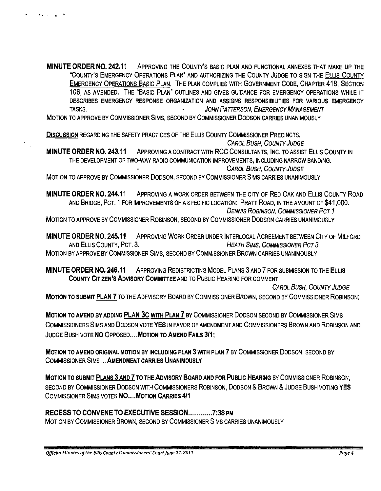MINUTE ORDER NO. 242.11 ApPROVING THE COUNTY'S BASIC PLAN AND FUNCTIONAL ANNEXES THAT MAKE UP THE "COUNTY'S EMERGENCY OPERATIONS PLAN' AND AUTHORIZING THE COUNTY JUDGE TO SIGN THE ELLIS COUNTY EMERGENCY OPERATIONS BASIC PLAN. THE PLAN COMPLIES WITH GOVERNMENT CODE, CHAPTER 418, SECTION 106, AS AMENDED. THE "BASIC PLAN' OUTLINES AND GIVES GUIDANCE FOR EMERGENCY OPERATIONS WHILE IT DESCRIBES EMERGENCY RESPONSE ORGANIZATION AND ASSIGNS RESPONSIBILITIES FOR VARIOUS EMERGENCY TASKS. JOHN PATTERSON, EMERGENCY MANAGEMENT

MOTION TO APPROVE BY COMMISSIONER SIMS, SECOND BY COMMISSIONER DODSON CARRIES UNANIMOUSLY

DISCUSSION REGARDING THE SAFETY PRACTICES OF THE ELLIS COUNTY COMMISSIONER PRECINCTS.

CAROL BUSH, COUNTY JUDGE MINUTE ORDER NO. 243.11 ApPROVING A CONTRACT WITH RCC CONSULTANTS, INC. TO ASSIST ELLIS COUNTY IN THE DEVELOPMENT OF TWO-WAY RADIO COMMUNICATION IMPROVEMENTS, INCLUDING NARROW BANDING. CAROL BUSH, COUNTY JUDGE

MOTION TO APPROVE BY COMMISSIONER DODSON, SECOND BY COMMISSIONER SIMS CARRIES UNANIMOUSLY

MINUTE ORDER NO. 244.11 ApPROVING A WORK ORDER BETWEEN THE CITY OF RED OAK AND ELLIS COUNTY ROAD AND BRIDGE, PCT. 1 FOR IMPROVEMENTS OF A SPECIFIC LOCATION: PRATT ROAD, IN THE AMOUNT OF \$41,000. DENNIS ROBINSON, COMMISSIONER PCT 1

MOTION TO APPROVE BY COMMISSIONER ROBINSON, SECOND BY COMMISSIONER DODSON CARRIES UNANIMOUSLY

MINUTE ORDER NO. 245.11 ApPROVING WORK ORDER UNDER INTERLOCAL AGREEMENT BETWEEN CITY OF MILFORD AND ELLIS COUNTY, PCT. 3. HEATH SIMS, COMMISSIONER PCT 3 MOTION BY APPROVE BY COMMISSIONER SIMS, SECOND BY COMMISSIONER BROWN CARRIES UNANIMOUSLY

MINUTE ORDER NO. 246.11 ApPROVING REDISTRICTING MODEL PLANS 3 AND 7 FOR SUBMISSION TO THE ELLIS COUNTY CITIZEN'S ADVISORY COMMITTEE AND TO PUBLIC HEARING FOR COMMENT

CAROL BUSH, COUNTY JUDGE

**MOTION TO SUBMIT PLAN 7** TO THE ADFVISORY BOARD BY COMMISSIONER BROWN, SECOND BY COMMISSIONER ROBINSON;

MOTION TO AMEND BY ADDING PLAN 3C WITH PLAN 7 BY COMMISSIONER DODSON SECOND BY COMMISSIONER SIMS COMMISSIONERS SIMS AND DODSON VOTE YES IN FAVOR OF AMENDMENT AND COMMISSIONERS BROWN AND ROBINSON AND JUDGE BUSH VOTE NO OPPOSED.... MOTION TO AMEND FAILS 3/1;

MOTION TO AMEND ORIGINAL MOTION BY INCLUDING PLAN 3 WITH PLAN 7 BY COMMISSIONER DODSON, SECOND BY COMMISSIONER SIMS .•. AMENDMENT CARRIES UNANIMOUSLY

MOTION TO SUBMIT PLANS 3 AND 7 TO THE ADVISORY BOARD AND FOR PUBLIC HEARING BY COMMISSIONER ROBINSON, SECOND BY COMMISSIONER DODSON WITH COMMISSIONERS ROBINSON, DODSON & BROWN & JUDGE BUSH VOTING YES COMMISSIONER SIMS VOTES NO.... MOTION CARRIES 4/1

#### RECESS TO CONVENE TO EXECUTIVE SESSION............7:38 PM

MOTION BY COMMISSIONER BROWN, SECOND BY COMMISSIONER SIMS CARRIES UNANIMOUSLY